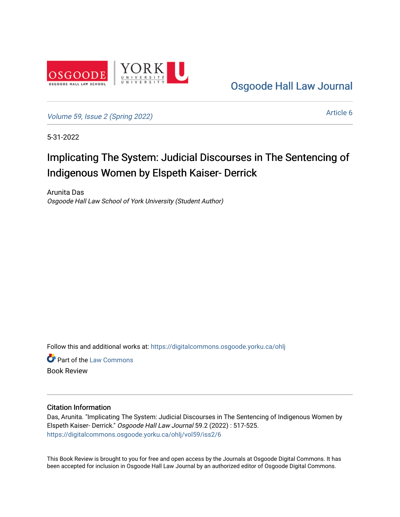

[Osgoode Hall Law Journal](https://digitalcommons.osgoode.yorku.ca/ohlj) 

[Volume 59, Issue 2 \(Spring 2022\)](https://digitalcommons.osgoode.yorku.ca/ohlj/vol59/iss2)

[Article 6](https://digitalcommons.osgoode.yorku.ca/ohlj/vol59/iss2/6) 

5-31-2022

# Implicating The System: Judicial Discourses in The Sentencing of Indigenous Women by Elspeth Kaiser- Derrick

Arunita Das Osgoode Hall Law School of York University (Student Author)

Follow this and additional works at: [https://digitalcommons.osgoode.yorku.ca/ohlj](https://digitalcommons.osgoode.yorku.ca/ohlj?utm_source=digitalcommons.osgoode.yorku.ca%2Fohlj%2Fvol59%2Fiss2%2F6&utm_medium=PDF&utm_campaign=PDFCoverPages)

**C** Part of the [Law Commons](https://network.bepress.com/hgg/discipline/578?utm_source=digitalcommons.osgoode.yorku.ca%2Fohlj%2Fvol59%2Fiss2%2F6&utm_medium=PDF&utm_campaign=PDFCoverPages) Book Review

### Citation Information

Das, Arunita. "Implicating The System: Judicial Discourses in The Sentencing of Indigenous Women by Elspeth Kaiser- Derrick." Osgoode Hall Law Journal 59.2 (2022) : 517-525. [https://digitalcommons.osgoode.yorku.ca/ohlj/vol59/iss2/6](https://digitalcommons.osgoode.yorku.ca/ohlj/vol59/iss2/6?utm_source=digitalcommons.osgoode.yorku.ca%2Fohlj%2Fvol59%2Fiss2%2F6&utm_medium=PDF&utm_campaign=PDFCoverPages) 

This Book Review is brought to you for free and open access by the Journals at Osgoode Digital Commons. It has been accepted for inclusion in Osgoode Hall Law Journal by an authorized editor of Osgoode Digital Commons.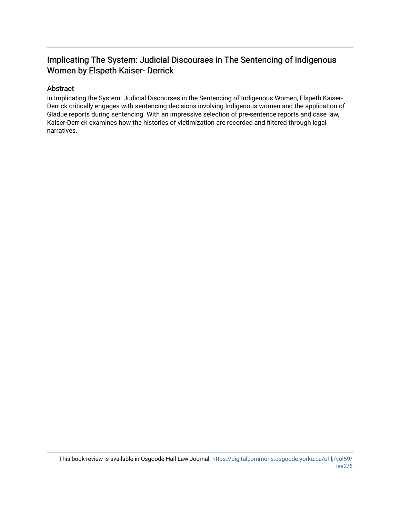# Implicating The System: Judicial Discourses in The Sentencing of Indigenous Women by Elspeth Kaiser- Derrick

## Abstract

In Implicating the System: Judicial Discourses in the Sentencing of Indigenous Women, Elspeth Kaiser-Derrick critically engages with sentencing decisions involving Indigenous women and the application of Gladue reports during sentencing. With an impressive selection of pre-sentence reports and case law, Kaiser-Derrick examines how the histories of victimization are recorded and filtered through legal narratives.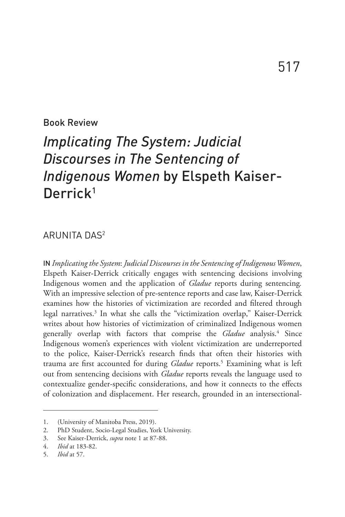### Book Review

# *Implicating The System: Judicial Discourses in The Sentencing of Indigenous Women* by Elspeth Kaiser-Derrick<sup>1</sup>

### ARUNITA DAS2

IN *Implicating the System*: *Judicial Discourses in the Sentencing of Indigenous Women*, Elspeth Kaiser-Derrick critically engages with sentencing decisions involving Indigenous women and the application of *Gladue* reports during sentencing*.* With an impressive selection of pre-sentence reports and case law, Kaiser-Derrick examines how the histories of victimization are recorded and filtered through legal narratives.<sup>3</sup> In what she calls the "victimization overlap," Kaiser-Derrick writes about how histories of victimization of criminalized Indigenous women generally overlap with factors that comprise the *Gladue* analysis.<sup>4</sup> Since Indigenous women's experiences with violent victimization are underreported to the police, Kaiser-Derrick's research finds that often their histories with trauma are first accounted for during *Gladue* reports.<sup>5</sup> Examining what is left out from sentencing decisions with *Gladue* reports reveals the language used to contextualize gender-specific considerations, and how it connects to the effects of colonization and displacement. Her research, grounded in an intersectional-

<sup>1.</sup> (University of Manitoba Press, 2019).

<sup>2.</sup> PhD Student, Socio-Legal Studies, York University.

<sup>3.</sup> See Kaiser-Derrick, *supra* note 1 at 87-88.

<sup>4.</sup> *Ibid* at 183-82.

<sup>5.</sup> *Ibid* at 57.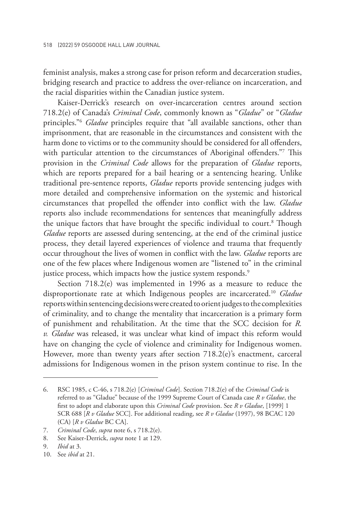feminist analysis, makes a strong case for prison reform and decarceration studies, bridging research and practice to address the over-reliance on incarceration, and the racial disparities within the Canadian justice system.

Kaiser-Derrick's research on over-incarceration centres around section 718.2(e) of Canada's *Criminal Code*, commonly known as "*Gladue*" or "*Gladue* principles."6 *Gladue* principles require that "all available sanctions, other than imprisonment, that are reasonable in the circumstances and consistent with the harm done to victims or to the community should be considered for all offenders, with particular attention to the circumstances of Aboriginal offenders."7 This provision in the *Criminal Code* allows for the preparation of *Gladue* reports, which are reports prepared for a bail hearing or a sentencing hearing. Unlike traditional pre-sentence reports, *Gladue* reports provide sentencing judges with more detailed and comprehensive information on the systemic and historical circumstances that propelled the offender into conflict with the law. *Gladue* reports also include recommendations for sentences that meaningfully address the unique factors that have brought the specific individual to court.<sup>8</sup> Though *Gladue* reports are assessed during sentencing, at the end of the criminal justice process, they detail layered experiences of violence and trauma that frequently occur throughout the lives of women in conflict with the law. *Gladue* reports are one of the few places where Indigenous women are "listened to" in the criminal justice process, which impacts how the justice system responds.<sup>9</sup>

Section 718.2(e) was implemented in 1996 as a measure to reduce the disproportionate rate at which Indigenous peoples are incarcerated.10 *Gladue* reports within sentencing decisions were created to orient judges to the complexities of criminality, and to change the mentality that incarceration is a primary form of punishment and rehabilitation. At the time that the SCC decision for *R. v. Gladue* was released, it was unclear what kind of impact this reform would have on changing the cycle of violence and criminality for Indigenous women. However, more than twenty years after section 718.2(e)'s enactment, carceral admissions for Indigenous women in the prison system continue to rise. In the

<sup>6.</sup> RSC 1985, c C-46, s 718.2(e) [*Criminal Code*]. Section 718.2(e) of the *Criminal Code* is referred to as "Gladue" because of the 1999 Supreme Court of Canada case *R v Gladue*, the first to adopt and elaborate upon this *Criminal Code* provision. See *R v Gladue*, [1999] 1 SCR 688 [*R v Gladue* SCC]. For additional reading, see *R v Gladue* (1997), 98 BCAC 120 (CA) [*R v Gladue* BC CA].

<sup>7.</sup> *Criminal Code*, *supra* note 6, s 718.2(e).

<sup>8.</sup> See Kaiser-Derrick, *supra* note 1 at 129.

<sup>9.</sup> *Ibid* at 3.

<sup>10.</sup> See *ibid* at 21.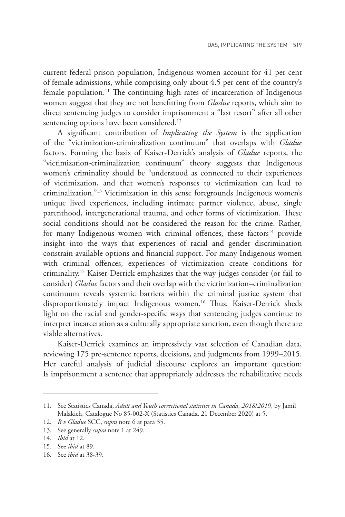current federal prison population, Indigenous women account for 41 per cent of female admissions, while comprising only about 4.5 per cent of the country's female population.<sup>11</sup> The continuing high rates of incarceration of Indigenous women suggest that they are not benefitting from *Gladue* reports, which aim to direct sentencing judges to consider imprisonment a "last resort" after all other sentencing options have been considered.<sup>12</sup>

A significant contribution of *Implicating the System* is the application of the "victimization-criminalization continuum" that overlaps with *Gladue* factors. Forming the basis of Kaiser-Derrick's analysis of *Gladue* reports, the "victimization-criminalization continuum" theory suggests that Indigenous women's criminality should be "understood as connected to their experiences of victimization, and that women's responses to victimization can lead to criminalization."13 Victimization in this sense foregrounds Indigenous women's unique lived experiences, including intimate partner violence, abuse, single parenthood, intergenerational trauma, and other forms of victimization. These social conditions should not be considered the reason for the crime. Rather, for many Indigenous women with criminal offences, these factors<sup>14</sup> provide insight into the ways that experiences of racial and gender discrimination constrain available options and financial support. For many Indigenous women with criminal offences, experiences of victimization create conditions for criminality.15 Kaiser-Derrick emphasizes that the way judges consider (or fail to consider) *Gladue* factors and their overlap with the victimization–criminalization continuum reveals systemic barriers within the criminal justice system that disproportionately impact Indigenous women.<sup>16</sup> Thus, Kaiser-Derrick sheds light on the racial and gender-specific ways that sentencing judges continue to interpret incarceration as a culturally appropriate sanction, even though there are viable alternatives.

Kaiser-Derrick examines an impressively vast selection of Canadian data, reviewing 175 pre-sentence reports, decisions, and judgments from 1999–2015. Her careful analysis of judicial discourse explores an important question: Is imprisonment a sentence that appropriately addresses the rehabilitative needs

<sup>11.</sup> See Statistics Canada, *Adult and Youth correctional statistics in Canada, 2018*/*2019*, by Jamil Malakieh, Catalogue No 85-002-X (Statistics Canada, 21 December 2020) at 5.

<sup>12.</sup> *R v Gladue* SCC, *supra* note 6 at para 35.

<sup>13.</sup> See generally *supra* note 1 at 249.

<sup>14.</sup> *Ibid* at 12.

<sup>15.</sup> See *ibid* at 89.

<sup>16.</sup> See *ibid* at 38-39.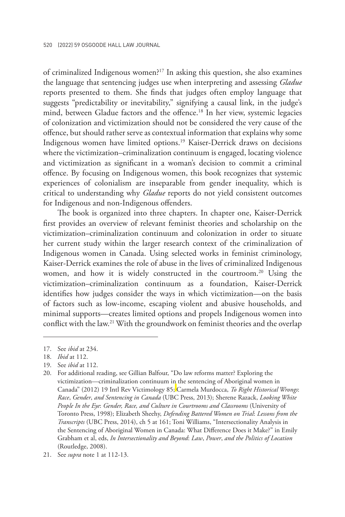of criminalized Indigenous women?17 In asking this question, she also examines the language that sentencing judges use when interpreting and assessing *Gladue* reports presented to them. She finds that judges often employ language that suggests "predictability or inevitability," signifying a causal link, in the judge's mind, between Gladue factors and the offence.18 In her view, systemic legacies of colonization and victimization should not be considered the very cause of the offence, but should rather serve as contextual information that explains why some Indigenous women have limited options.19 Kaiser-Derrick draws on decisions where the victimization–criminalization continuum is engaged, locating violence and victimization as significant in a woman's decision to commit a criminal offence. By focusing on Indigenous women, this book recognizes that systemic experiences of colonialism are inseparable from gender inequality, which is critical to understanding why *Gladue* reports do not yield consistent outcomes for Indigenous and non-Indigenous offenders.

The book is organized into three chapters. In chapter one, Kaiser-Derrick first provides an overview of relevant feminist theories and scholarship on the victimization–criminalization continuum and colonization in order to situate her current study within the larger research context of the criminalization of Indigenous women in Canada. Using selected works in feminist criminology, Kaiser-Derrick examines the role of abuse in the lives of criminalized Indigenous women, and how it is widely constructed in the courtroom.<sup>20</sup> Using the victimization–criminalization continuum as a foundation, Kaiser-Derrick identifies how judges consider the ways in which victimization—on the basis of factors such as low-income, escaping violent and abusive households, and minimal supports—creates limited options and propels Indigenous women into conflict with the law.21 With the groundwork on feminist theories and the overlap

<sup>17.</sup> See *ibid* at 234.

<sup>18.</sup> *Ibid* at 112.

<sup>19.</sup> See *ibid* at 112.

<sup>20.</sup> For additional reading, see Gillian Balfour, "Do law reforms matter? Exploring the victimization—criminalization continuum in the sentencing of Aboriginal women in Canada" (2012) 19 Intl Rev Victimology 85; Carmela Murdocca, *To Right Historical Wrongs*: *Race*, *Gender*, *and Sentencing in Canada* (UBC Press, 2013); Sherene Razack, *Looking White People In the Eye*: *Gender, Race, and Culture in Courtrooms and Classrooms* (University of Toronto Press, 1998); Elizabeth Sheehy, *Defending Battered Women on Trial*: *Lessons from the Transcripts* (UBC Press, 2014), ch 5 at 161; Toni Williams, "Intersectionality Analysis in the Sentencing of Aboriginal Women in Canada: What Difference Does it Make?" in Emily Grabham et al, eds, *In Intersectionality and Beyond*: *Law*, *Power*, *and the Politics of Location* (Routledge, 2008).

<sup>21.</sup> See *supra* note 1 at 112-13.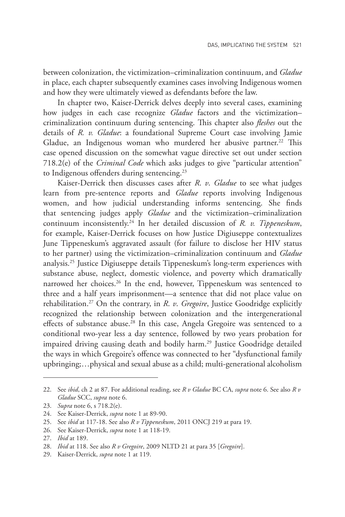between colonization, the victimization–criminalization continuum, and *Gladue* in place, each chapter subsequently examines cases involving Indigenous women and how they were ultimately viewed as defendants before the law.

In chapter two, Kaiser-Derrick delves deeply into several cases, examining how judges in each case recognize *Gladue* factors and the victimization– criminalization continuum during sentencing. This chapter also *fleshes* out the details of *R. v. Gladue*: a foundational Supreme Court case involving Jamie Gladue, an Indigenous woman who murdered her abusive partner.<sup>22</sup> This case opened discussion on the somewhat vague directive set out under section 718.2(e) of the *Criminal Code* which asks judges to give "particular attention" to Indigenous offenders during sentencing.<sup>23</sup>

Kaiser-Derrick then discusses cases after *R*. *v*. *Gladue* to see what judges learn from pre-sentence reports and *Gladue* reports involving Indigenous women, and how judicial understanding informs sentencing. She finds that sentencing judges apply *Gladue* and the victimization–criminalization continuum inconsistently.24 In her detailed discussion of *R. v. Tippeneskum*, for example, Kaiser-Derrick focuses on how Justice Digiuseppe contextualizes June Tippeneskum's aggravated assault (for failure to disclose her HIV status to her partner) using the victimization–criminalization continuum and *Gladue*  analysis.25 Justice Digiuseppe details Tippeneskum's long-term experiences with substance abuse, neglect, domestic violence, and poverty which dramatically narrowed her choices.<sup>26</sup> In the end, however, Tippeneskum was sentenced to three and a half years imprisonment—a sentence that did not place value on rehabilitation.27 On the contrary, in *R*. *v*. *Gregoire*, Justice Goodridge explicitly recognized the relationship between colonization and the intergenerational effects of substance abuse.<sup>28</sup> In this case, Angela Gregoire was sentenced to a conditional two-year less a day sentence, followed by two years probation for impaired driving causing death and bodily harm.<sup>29</sup> Justice Goodridge detailed the ways in which Gregoire's offence was connected to her "dysfunctional family upbringing;…physical and sexual abuse as a child; multi-generational alcoholism

<sup>22.</sup> See *ibid*, ch 2 at 87. For additional reading, see *R v Gladue* BC CA, *supra* note 6. See also *R v Gladue* SCC, *supra* note 6.

<sup>23.</sup> *Supra* note 6, s 718.2(e).

<sup>24.</sup> See Kaiser-Derrick, *supra* note 1 at 89-90.

<sup>25.</sup> See *ibid* at 117-18. See also *R v Tippeneskum*, 2011 ONCJ 219 at para 19.

<sup>26.</sup> See Kaiser-Derrick, *supra* note 1 at 118-19.

<sup>27.</sup> *Ibid* at 189.

<sup>28.</sup> *Ibid* at 118. See also *R v Gregoire*, 2009 NLTD 21 at para 35 [*Gregoire*].

<sup>29.</sup> Kaiser-Derrick, *supra* note 1 at 119.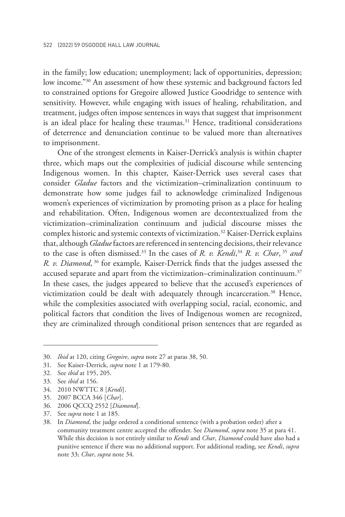in the family; low education; unemployment; lack of opportunities, depression; low income."30 An assessment of how these systemic and background factors led to constrained options for Gregoire allowed Justice Goodridge to sentence with sensitivity. However, while engaging with issues of healing, rehabilitation, and treatment, judges often impose sentences in ways that suggest that imprisonment is an ideal place for healing these traumas. $31$  Hence, traditional considerations of deterrence and denunciation continue to be valued more than alternatives to imprisonment.

One of the strongest elements in Kaiser-Derrick's analysis is within chapter three, which maps out the complexities of judicial discourse while sentencing Indigenous women. In this chapter, Kaiser-Derrick uses several cases that consider *Gladue* factors and the victimization–criminalization continuum to demonstrate how some judges fail to acknowledge criminalized Indigenous women's experiences of victimization by promoting prison as a place for healing and rehabilitation. Often, Indigenous women are decontextualized from the victimization–criminalization continuum and judicial discourse misses the complex historic and systemic contexts of victimization.32 Kaiser-Derrick explains that, although *Gladue* factors are referenced in sentencing decisions, their relevance to the case is often dismissed.33 In the cases of *R. v. Kendi*, <sup>34</sup> *R. v. Char*, <sup>35</sup> *and R. v. Diamond*, <sup>36</sup> for example*,* Kaiser-Derrick finds that the judges assessed the accused separate and apart from the victimization–criminalization continuum. $37$ In these cases, the judges appeared to believe that the accused's experiences of victimization could be dealt with adequately through incarceration*.* 38 Hence, while the complexities associated with overlapping social, racial, economic, and political factors that condition the lives of Indigenous women are recognized, they are criminalized through conditional prison sentences that are regarded as

35. 2007 BCCA 346 [*Char*].

<sup>30.</sup> *Ibid* at 120, citing *Gregoire*, *supra* note 27 at paras 38, 50.

<sup>31.</sup> See Kaiser-Derrick, *supra* note 1 at 179-80.

<sup>32.</sup> See *ibid* at 195, 205.

<sup>33.</sup> See *ibid* at 156.

<sup>34.</sup> 2010 NWTTC 8 [*Kendi*].

<sup>36.</sup> 2006 QCCQ 2552 [*Diamond*].

<sup>37.</sup> See *supra* note 1 at 185.

<sup>38.</sup> In *Diamond*, the judge ordered a conditional sentence (with a probation order) after a community treatment centre accepted the offender. See *Diamond*, *supra* note 35 at para 41. While this decision is not entirely similar to *Kendi* and *Char*, *Diamond* could have also had a punitive sentence if there was no additional support. For additional reading, see *Kendi*, *supra* note 33; *Char*, *supra* note 34.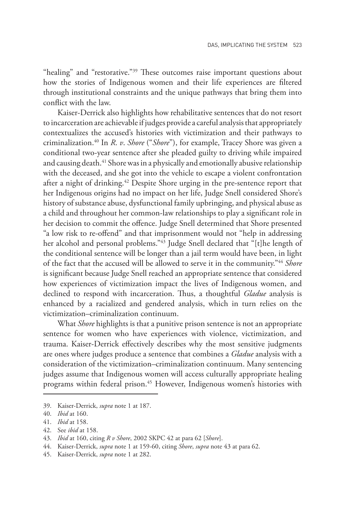"healing" and "restorative."<sup>39</sup> These outcomes raise important questions about how the stories of Indigenous women and their life experiences are filtered through institutional constraints and the unique pathways that bring them into conflict with the law.

Kaiser-Derrick also highlights how rehabilitative sentences that do not resort to incarceration are achievable if judges provide a careful analysis that appropriately contextualizes the accused's histories with victimization and their pathways to criminalization.40 In *R*. *v*. *Shore* ("*Shore*"), for example, Tracey Shore was given a conditional two-year sentence after she pleaded guilty to driving while impaired and causing death.<sup>41</sup> Shore was in a physically and emotionally abusive relationship with the deceased, and she got into the vehicle to escape a violent confrontation after a night of drinking.42 Despite Shore urging in the pre-sentence report that her Indigenous origins had no impact on her life, Judge Snell considered Shore's history of substance abuse, dysfunctional family upbringing, and physical abuse as a child and throughout her common-law relationships to play a significant role in her decision to commit the offence. Judge Snell determined that Shore presented "a low risk to re-offend" and that imprisonment would not "help in addressing her alcohol and personal problems."43 Judge Snell declared that "[t]he length of the conditional sentence will be longer than a jail term would have been, in light of the fact that the accused will be allowed to serve it in the community."44 *Shore*  is significant because Judge Snell reached an appropriate sentence that considered how experiences of victimization impact the lives of Indigenous women, and declined to respond with incarceration. Thus, a thoughtful *Gladue* analysis is enhanced by a racialized and gendered analysis, which in turn relies on the victimization–criminalization continuum.

What *Shore* highlights is that a punitive prison sentence is not an appropriate sentence for women who have experiences with violence, victimization, and trauma. Kaiser-Derrick effectively describes why the most sensitive judgments are ones where judges produce a sentence that combines a *Gladue* analysis with a consideration of the victimization–criminalization continuum. Many sentencing judges assume that Indigenous women will access culturally appropriate healing programs within federal prison.<sup>45</sup> However, Indigenous women's histories with

<sup>39.</sup> Kaiser-Derrick, *supra* note 1 at 187.

<sup>40.</sup> *Ibid* at 160.

<sup>41.</sup> *Ibid* at 158.

<sup>42.</sup> See *ibid* at 158.

<sup>43.</sup> *Ibid* at 160, citing *R v Shore*, 2002 SKPC 42 at para 62 [*Shore*].

<sup>44.</sup> Kaiser-Derrick, *supra* note 1 at 159-60, citing *Shore*, *supra* note 43 at para 62.

<sup>45.</sup> Kaiser-Derrick, *supra* note 1 at 282.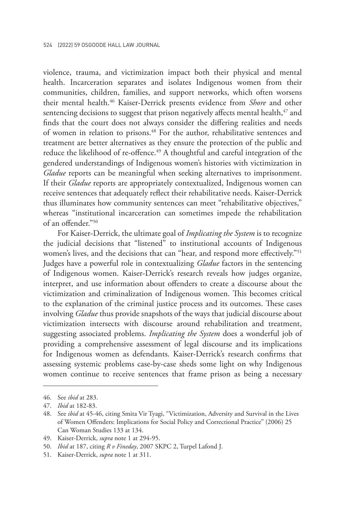violence, trauma, and victimization impact both their physical and mental health. Incarceration separates and isolates Indigenous women from their communities, children, families, and support networks, which often worsens their mental health.46 Kaiser-Derrick presents evidence from *Shore* and other sentencing decisions to suggest that prison negatively affects mental health,<sup>47</sup> and finds that the court does not always consider the differing realities and needs of women in relation to prisons.<sup>48</sup> For the author, rehabilitative sentences and treatment are better alternatives as they ensure the protection of the public and reduce the likelihood of re-offence.<sup>49</sup> A thoughtful and careful integration of the gendered understandings of Indigenous women's histories with victimization in *Gladue* reports can be meaningful when seeking alternatives to imprisonment. If their *Gladue* reports are appropriately contextualized, Indigenous women can receive sentences that adequately reflect their rehabilitative needs. Kaiser-Derrick thus illuminates how community sentences can meet "rehabilitative objectives," whereas "institutional incarceration can sometimes impede the rehabilitation of an offender."50

For Kaiser-Derrick, the ultimate goal of *Implicating the System* is to recognize the judicial decisions that "listened" to institutional accounts of Indigenous women's lives, and the decisions that can "hear, and respond more effectively."<sup>51</sup> Judges have a powerful role in contextualizing *Gladue* factors in the sentencing of Indigenous women. Kaiser-Derrick's research reveals how judges organize, interpret, and use information about offenders to create a discourse about the victimization and criminalization of Indigenous women. This becomes critical to the explanation of the criminal justice process and its outcomes. These cases involving *Gladue* thus provide snapshots of the ways that judicial discourse about victimization intersects with discourse around rehabilitation and treatment, suggesting associated problems. *Implicating the System* does a wonderful job of providing a comprehensive assessment of legal discourse and its implications for Indigenous women as defendants. Kaiser-Derrick's research confirms that assessing systemic problems case-by-case sheds some light on why Indigenous women continue to receive sentences that frame prison as being a necessary

<sup>46.</sup> See *ibid* at 283.

<sup>47.</sup> *Ibid* at 182-83.

<sup>48.</sup> See *ibid* at 45-46, citing Smita Vir Tyagi, "Victimization, Adversity and Survival in the Lives of Women Offenders: Implications for Social Policy and Correctional Practice" (2006) 25 Can Woman Studies 133 at 134.

<sup>49.</sup> Kaiser-Derrick, *supra* note 1 at 294-95.

<sup>50.</sup> *Ibid* at 187, citing *R v Fineday*, 2007 SKPC 2, Turpel Lafond J.

<sup>51.</sup> Kaiser-Derrick, *supra* note 1 at 311.